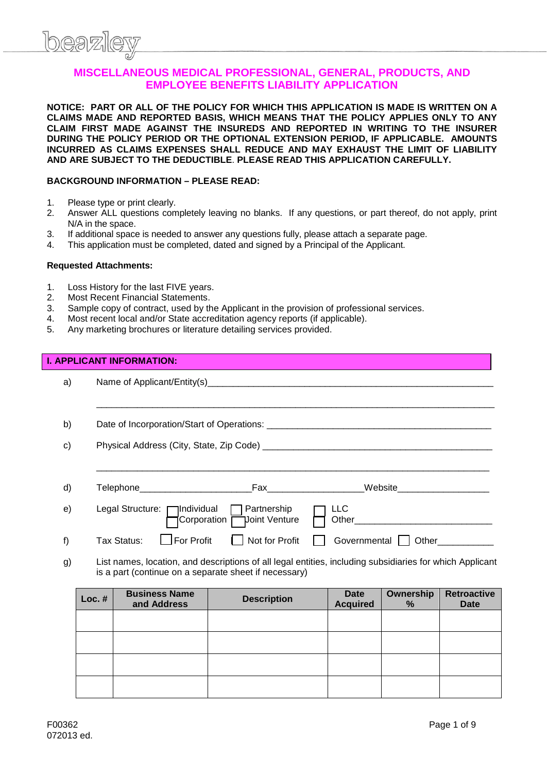

#### **MISCELLANEOUS MEDICAL PROFESSIONAL, GENERAL, PRODUCTS, AND EMPLOYEE BENEFITS LIABILITY APPLICATION**

**NOTICE: PART OR ALL OF THE POLICY FOR WHICH THIS APPLICATION IS MADE IS WRITTEN ON A CLAIMS MADE AND REPORTED BASIS, WHICH MEANS THAT THE POLICY APPLIES ONLY TO ANY CLAIM FIRST MADE AGAINST THE INSUREDS AND REPORTED IN WRITING TO THE INSURER DURING THE POLICY PERIOD OR THE OPTIONAL EXTENSION PERIOD, IF APPLICABLE. AMOUNTS INCURRED AS CLAIMS EXPENSES SHALL REDUCE AND MAY EXHAUST THE LIMIT OF LIABILITY AND ARE SUBJECT TO THE DEDUCTIBLE**. **PLEASE READ THIS APPLICATION CAREFULLY.**

#### **BACKGROUND INFORMATION – PLEASE READ:**

- 1. Please type or print clearly.
- 2. Answer ALL questions completely leaving no blanks. If any questions, or part thereof, do not apply, print N/A in the space.
- 3. If additional space is needed to answer any questions fully, please attach a separate page.
- 4. This application must be completed, dated and signed by a Principal of the Applicant.

#### **Requested Attachments:**

- 1. Loss History for the last FIVE years.
- 2. Most Recent Financial Statements.
- 3. Sample copy of contract, used by the Applicant in the provision of professional services.
- 4. Most recent local and/or State accreditation agency reports (if applicable).
- 5. Any marketing brochures or literature detailing services provided.

#### **I. APPLICANT INFORMATION:**

| a) |                                                                                                                                                                   |                                        |                           |                         |                    |                                   |
|----|-------------------------------------------------------------------------------------------------------------------------------------------------------------------|----------------------------------------|---------------------------|-------------------------|--------------------|-----------------------------------|
|    |                                                                                                                                                                   |                                        |                           |                         |                    |                                   |
| b) |                                                                                                                                                                   |                                        |                           |                         |                    |                                   |
| c) |                                                                                                                                                                   |                                        |                           |                         |                    |                                   |
|    |                                                                                                                                                                   |                                        |                           |                         |                    |                                   |
| d) |                                                                                                                                                                   | Telephone_____________________________ | Fax Website               |                         |                    |                                   |
| e) |                                                                                                                                                                   |                                        | Corporation Upint Venture | <b>LLC</b>              |                    |                                   |
| f) |                                                                                                                                                                   | For Profit<br>Tax Status:              | Not for Profit            |                         | Governmental Other |                                   |
| g) | List names, location, and descriptions of all legal entities, including subsidiaries for which Applicant<br>is a part (continue on a separate sheet if necessary) |                                        |                           |                         |                    |                                   |
|    | $Loc.$ #                                                                                                                                                          | <b>Business Name</b><br>and Address    | <b>Description</b>        | Date<br><b>Acquired</b> | Ownership<br>%     | <b>Retroactive</b><br><b>Date</b> |
|    |                                                                                                                                                                   |                                        |                           |                         |                    |                                   |
|    |                                                                                                                                                                   |                                        |                           |                         |                    |                                   |
|    |                                                                                                                                                                   |                                        |                           |                         |                    |                                   |
|    |                                                                                                                                                                   |                                        |                           |                         |                    |                                   |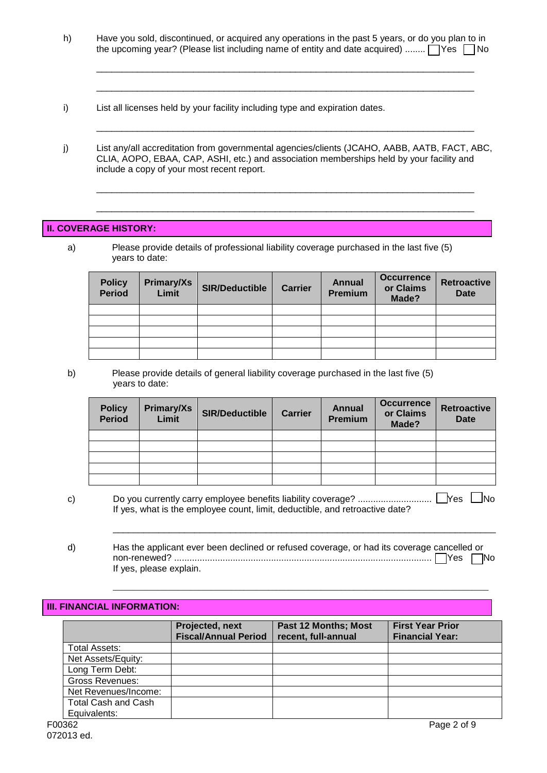h) Have you sold, discontinued, or acquired any operations in the past 5 years, or do you plan to in the upcoming year? (Please list including name of entity and date acquired) ........  $\Box$  Yes  $\Box$  No

\_\_\_\_\_\_\_\_\_\_\_\_\_\_\_\_\_\_\_\_\_\_\_\_\_\_\_\_\_\_\_\_\_\_\_\_\_\_\_\_\_\_\_\_\_\_\_\_\_\_\_\_\_\_\_\_\_\_\_\_\_\_\_\_\_\_\_\_\_\_\_\_\_\_

\_\_\_\_\_\_\_\_\_\_\_\_\_\_\_\_\_\_\_\_\_\_\_\_\_\_\_\_\_\_\_\_\_\_\_\_\_\_\_\_\_\_\_\_\_\_\_\_\_\_\_\_\_\_\_\_\_\_\_\_\_\_\_\_\_\_\_\_\_\_\_\_\_\_

\_\_\_\_\_\_\_\_\_\_\_\_\_\_\_\_\_\_\_\_\_\_\_\_\_\_\_\_\_\_\_\_\_\_\_\_\_\_\_\_\_\_\_\_\_\_\_\_\_\_\_\_\_\_\_\_\_\_\_\_\_\_\_\_\_\_\_\_\_\_\_\_\_\_

\_\_\_\_\_\_\_\_\_\_\_\_\_\_\_\_\_\_\_\_\_\_\_\_\_\_\_\_\_\_\_\_\_\_\_\_\_\_\_\_\_\_\_\_\_\_\_\_\_\_\_\_\_\_\_\_\_\_\_\_\_\_\_\_\_\_\_\_\_\_\_\_\_\_

\_\_\_\_\_\_\_\_\_\_\_\_\_\_\_\_\_\_\_\_\_\_\_\_\_\_\_\_\_\_\_\_\_\_\_\_\_\_\_\_\_\_\_\_\_\_\_\_\_\_\_\_\_\_\_\_\_\_\_\_\_\_\_\_\_\_\_\_\_\_\_\_\_\_

- i) List all licenses held by your facility including type and expiration dates.
- j) List any/all accreditation from governmental agencies/clients (JCAHO, AABB, AATB, FACT, ABC, CLIA, AOPO, EBAA, CAP, ASHI, etc.) and association memberships held by your facility and include a copy of your most recent report.

#### **II. COVERAGE HISTORY:**

a) Please provide details of professional liability coverage purchased in the last five (5) years to date:

| <b>Policy</b><br>Period | Primary/Xs<br>Limit | <b>SIR/Deductible</b> | <b>Carrier</b> | <b>Annual</b><br><b>Premium</b> | <b>Occurrence</b><br>or Claims<br>Made? | <b>Retroactive</b><br><b>Date</b> |
|-------------------------|---------------------|-----------------------|----------------|---------------------------------|-----------------------------------------|-----------------------------------|
|                         |                     |                       |                |                                 |                                         |                                   |
|                         |                     |                       |                |                                 |                                         |                                   |
|                         |                     |                       |                |                                 |                                         |                                   |
|                         |                     |                       |                |                                 |                                         |                                   |
|                         |                     |                       |                |                                 |                                         |                                   |

b) Please provide details of general liability coverage purchased in the last five (5) years to date:

| <b>Policy</b><br>Period | <b>Primary/Xs</b><br>Limit | <b>SIR/Deductible</b> | <b>Carrier</b> | <b>Annual</b><br><b>Premium</b> | <b>Occurrence</b><br>or Claims<br>Made? | <b>Retroactive</b><br><b>Date</b> |
|-------------------------|----------------------------|-----------------------|----------------|---------------------------------|-----------------------------------------|-----------------------------------|
|                         |                            |                       |                |                                 |                                         |                                   |
|                         |                            |                       |                |                                 |                                         |                                   |
|                         |                            |                       |                |                                 |                                         |                                   |
|                         |                            |                       |                |                                 |                                         |                                   |
|                         |                            |                       |                |                                 |                                         |                                   |

c) Do you currently carry employee benefits liability coverage? ............................. Yes No If yes, what is the employee count, limit, deductible, and retroactive date?

\_\_\_\_\_\_\_\_\_\_\_\_\_\_\_\_\_\_\_\_\_\_\_\_\_\_\_\_\_\_\_\_\_\_\_\_\_\_\_\_\_\_\_\_\_\_\_\_\_\_\_\_\_\_\_\_\_\_\_\_\_\_\_\_\_\_\_\_\_\_\_\_\_\_\_

d) Has the applicant ever been declined or refused coverage, or had its coverage cancelled or non-renewed? ..................................................................................................... Yes No If yes, please explain.

 $\mathcal{L}_\mathcal{L} = \{ \mathcal{L}_\mathcal{L} = \{ \mathcal{L}_\mathcal{L} = \{ \mathcal{L}_\mathcal{L} = \{ \mathcal{L}_\mathcal{L} = \{ \mathcal{L}_\mathcal{L} = \{ \mathcal{L}_\mathcal{L} = \{ \mathcal{L}_\mathcal{L} = \{ \mathcal{L}_\mathcal{L} = \{ \mathcal{L}_\mathcal{L} = \{ \mathcal{L}_\mathcal{L} = \{ \mathcal{L}_\mathcal{L} = \{ \mathcal{L}_\mathcal{L} = \{ \mathcal{L}_\mathcal{L} = \{ \mathcal{L}_\mathcal{$ 

#### **III. FINANCIAL INFORMATION:**

|        |                            | Projected, next<br><b>Fiscal/Annual Period</b> | <b>Past 12 Months; Most</b><br>recent, full-annual | <b>First Year Prior</b><br><b>Financial Year:</b> |
|--------|----------------------------|------------------------------------------------|----------------------------------------------------|---------------------------------------------------|
|        | Total Assets:              |                                                |                                                    |                                                   |
|        | Net Assets/Equity:         |                                                |                                                    |                                                   |
|        | Long Term Debt:            |                                                |                                                    |                                                   |
|        | <b>Gross Revenues:</b>     |                                                |                                                    |                                                   |
|        | Net Revenues/Income:       |                                                |                                                    |                                                   |
|        | <b>Total Cash and Cash</b> |                                                |                                                    |                                                   |
|        | Equivalents:               |                                                |                                                    |                                                   |
| F00362 |                            |                                                |                                                    | Page 2 of 9                                       |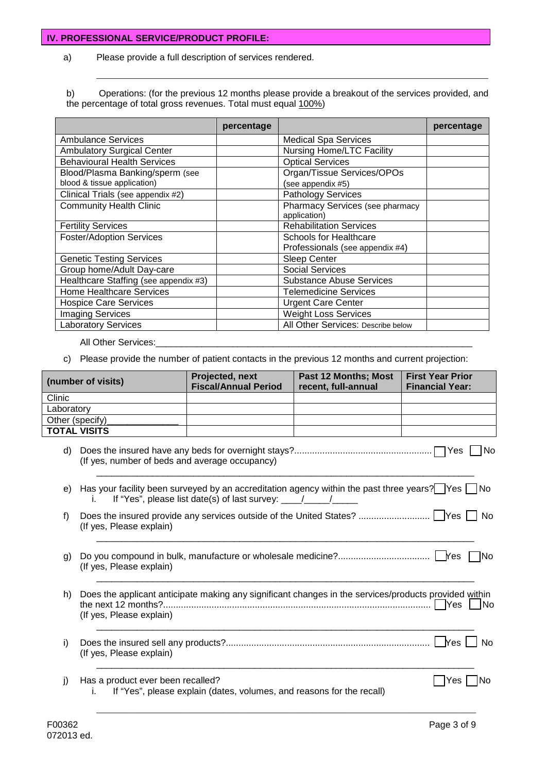#### **IV. PROFESSIONAL SERVICE/PRODUCT PROFILE:**

a) Please provide a full description of services rendered.

b) Operations: (for the previous 12 months please provide a breakout of the services provided, and the percentage of total gross revenues. Total must equal 100%)

\_\_\_\_\_\_\_\_\_\_\_\_\_\_\_\_\_\_\_\_\_\_\_\_\_\_\_\_\_\_\_\_\_\_\_\_\_\_\_\_\_\_\_\_\_\_\_\_\_\_\_\_\_\_\_\_\_\_\_\_\_\_\_\_\_\_\_\_\_\_\_\_\_\_\_\_\_\_\_\_\_\_\_\_\_\_\_\_\_\_\_\_\_\_\_\_

|                                       | percentage |                                                           | percentage |
|---------------------------------------|------------|-----------------------------------------------------------|------------|
| <b>Ambulance Services</b>             |            | <b>Medical Spa Services</b>                               |            |
| <b>Ambulatory Surgical Center</b>     |            | <b>Nursing Home/LTC Facility</b>                          |            |
| <b>Behavioural Health Services</b>    |            | <b>Optical Services</b>                                   |            |
| Blood/Plasma Banking/sperm (see       |            | Organ/Tissue Services/OPOs                                |            |
| blood & tissue application)           |            | (see appendix #5)                                         |            |
| Clinical Trials (see appendix #2)     |            | <b>Pathology Services</b>                                 |            |
| <b>Community Health Clinic</b>        |            | Pharmacy Services (see pharmacy<br>application)           |            |
| <b>Fertility Services</b>             |            | <b>Rehabilitation Services</b>                            |            |
| <b>Foster/Adoption Services</b>       |            | Schools for Healthcare<br>Professionals (see appendix #4) |            |
| <b>Genetic Testing Services</b>       |            | <b>Sleep Center</b>                                       |            |
| Group home/Adult Day-care             |            | Social Services                                           |            |
| Healthcare Staffing (see appendix #3) |            | <b>Substance Abuse Services</b>                           |            |
| <b>Home Healthcare Services</b>       |            | <b>Telemedicine Services</b>                              |            |
| <b>Hospice Care Services</b>          |            | <b>Urgent Care Center</b>                                 |            |
| <b>Imaging Services</b>               |            | <b>Weight Loss Services</b>                               |            |
| <b>Laboratory Services</b>            |            | All Other Services: Describe below                        |            |

All Other Services:

c) Please provide the number of patient contacts in the previous 12 months and current projection:

|            | (number of visits)                                                                                                                                       | Projected, next<br><b>Fiscal/Annual Period</b>                                  | Past 12 Months; Most<br>recent, full-annual | <b>First Year Prior</b><br><b>Financial Year:</b> |
|------------|----------------------------------------------------------------------------------------------------------------------------------------------------------|---------------------------------------------------------------------------------|---------------------------------------------|---------------------------------------------------|
| Clinic     |                                                                                                                                                          |                                                                                 |                                             |                                                   |
| Laboratory |                                                                                                                                                          |                                                                                 |                                             |                                                   |
|            | Other (specify)                                                                                                                                          |                                                                                 |                                             |                                                   |
|            | <b>TOTAL VISITS</b>                                                                                                                                      |                                                                                 |                                             |                                                   |
| d)         | (If yes, number of beds and average occupancy)                                                                                                           |                                                                                 |                                             | l No                                              |
| e)         | Has your facility been surveyed by an accreditation agency within the past three years? Yes $\Box$ No<br>Ť.                                              | If "Yes", please list date(s) of last survey: $\frac{1}{\sqrt{1-\frac{1}{2}}}\$ |                                             |                                                   |
| f)         | (If yes, Please explain)                                                                                                                                 |                                                                                 |                                             |                                                   |
| g)         | (If yes, Please explain)                                                                                                                                 |                                                                                 |                                             | - INo                                             |
| h)         | Does the applicant anticipate making any significant changes in the services/products provided within<br>the next 12 months?<br>(If yes, Please explain) |                                                                                 |                                             |                                                   |
| i)         | (If yes, Please explain)                                                                                                                                 |                                                                                 |                                             |                                                   |
| j)         | Has a product ever been recalled?<br>İ.                                                                                                                  | If "Yes", please explain (dates, volumes, and reasons for the recall)           |                                             | Yes<br>lNo                                        |
|            |                                                                                                                                                          |                                                                                 |                                             |                                                   |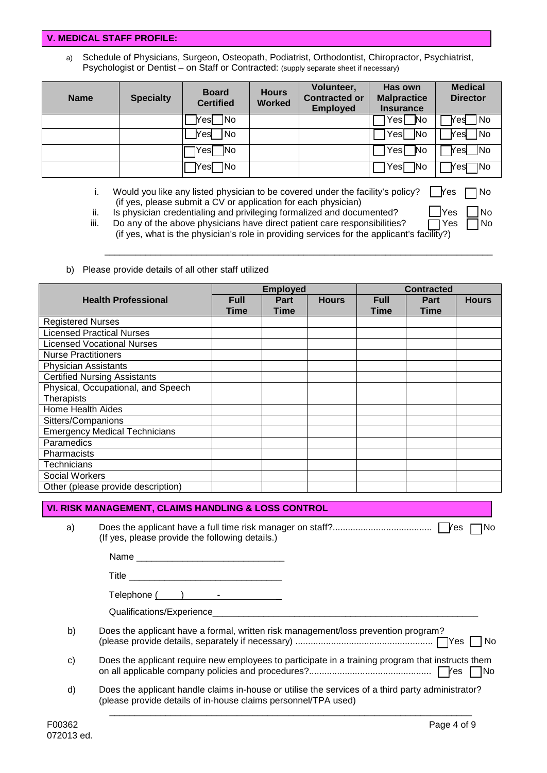#### **V. MEDICAL STAFF PROFILE:**

a) Schedule of Physicians, Surgeon, Osteopath, Podiatrist, Orthodontist, Chiropractor, Psychiatrist, Psychologist or Dentist – on Staff or Contracted: (supply separate sheet if necessary)

| <b>Name</b> | <b>Specialty</b> | <b>Board</b><br><b>Certified</b> | <b>Hours</b><br><b>Worked</b> | Volunteer,<br><b>Contracted or</b><br><b>Employed</b> | Has own<br><b>Malpractice</b><br><b>Insurance</b> | <b>Medical</b><br><b>Director</b> |
|-------------|------------------|----------------------------------|-------------------------------|-------------------------------------------------------|---------------------------------------------------|-----------------------------------|
|             |                  | <b>No</b><br><b>Nesl</b>         |                               |                                                       | Yes<br><b>No</b>                                  | INo.<br>Yesl                      |
|             |                  | No<br><b>Nes</b>                 |                               |                                                       | Yesl<br><b>No</b>                                 | <b>No</b><br>Yest                 |
|             |                  | 1No<br>IYesl                     |                               |                                                       | Yes<br>No                                         | Yes  No                           |
|             |                  | 1No<br><b>Nesl</b>               |                               |                                                       | Yes[<br>1No                                       | 1No<br><b>Yes</b>                 |

i. Would you like any listed physician to be covered under the facility's policy?  $\Box$  Yes  $\Box$  No (if yes, please submit a CV or application for each physician)

ii. Is physician credentialing and privileging formalized and documented?  $\Box$  Yes  $\Box$  No

iii. Do any of the above physicians have direct patient care responsibilities?  $\Box$  Yes  $\Box$  No (if yes, what is the physician's role in providing services for the applicant's facility?)

\_\_\_\_\_\_\_\_\_\_\_\_\_\_\_\_\_\_\_\_\_\_\_\_\_\_\_\_\_\_\_\_\_\_\_\_\_\_\_\_\_\_\_\_\_\_\_\_\_\_\_\_\_\_\_\_\_\_\_\_\_\_\_\_\_\_\_\_\_\_\_\_\_\_\_\_

b) Please provide details of all other staff utilized

|                                      | <b>Employed</b>     |                            |              | <b>Contracted</b>   |                            |              |
|--------------------------------------|---------------------|----------------------------|--------------|---------------------|----------------------------|--------------|
| <b>Health Professional</b>           | <b>Full</b><br>Time | <b>Part</b><br><b>Time</b> | <b>Hours</b> | <b>Full</b><br>Time | <b>Part</b><br><b>Time</b> | <b>Hours</b> |
| <b>Registered Nurses</b>             |                     |                            |              |                     |                            |              |
| <b>Licensed Practical Nurses</b>     |                     |                            |              |                     |                            |              |
| <b>Licensed Vocational Nurses</b>    |                     |                            |              |                     |                            |              |
| <b>Nurse Practitioners</b>           |                     |                            |              |                     |                            |              |
| <b>Physician Assistants</b>          |                     |                            |              |                     |                            |              |
| <b>Certified Nursing Assistants</b>  |                     |                            |              |                     |                            |              |
| Physical, Occupational, and Speech   |                     |                            |              |                     |                            |              |
| Therapists                           |                     |                            |              |                     |                            |              |
| <b>Home Health Aides</b>             |                     |                            |              |                     |                            |              |
| Sitters/Companions                   |                     |                            |              |                     |                            |              |
| <b>Emergency Medical Technicians</b> |                     |                            |              |                     |                            |              |
| Paramedics                           |                     |                            |              |                     |                            |              |
| Pharmacists                          |                     |                            |              |                     |                            |              |
| <b>Technicians</b>                   |                     |                            |              |                     |                            |              |
| Social Workers                       |                     |                            |              |                     |                            |              |
| Other (please provide description)   |                     |                            |              |                     |                            |              |

### **VI. RISK MANAGEMENT, CLAIMS HANDLING & LOSS CONTROL**

a) Does the applicant have a full time risk manager on staff?....................................... Yes No (If yes, please provide the following details.)

> Name $\_\_$ Title  $\_\_$

Telephone ( ) -  $\qquad \qquad$ 

Qualifications/Experience

- b) Does the applicant have a formal, written risk management/loss prevention program? (please provide details, separately if necessary) ...................................................... Yes No
- c) Does the applicant require new employees to participate in a training program that instructs them on all applicable company policies and procedures?................................................ Yes No

\_\_\_\_\_\_\_\_\_\_\_\_\_\_\_\_\_\_\_\_\_\_\_\_\_\_\_\_\_\_\_\_\_\_\_\_\_\_\_\_\_\_\_\_\_\_\_\_\_\_\_\_\_\_\_\_\_\_\_\_\_\_\_\_\_\_\_\_\_\_\_

d) Does the applicant handle claims in-house or utilise the services of a third party administrator? (please provide details of in-house claims personnel/TPA used)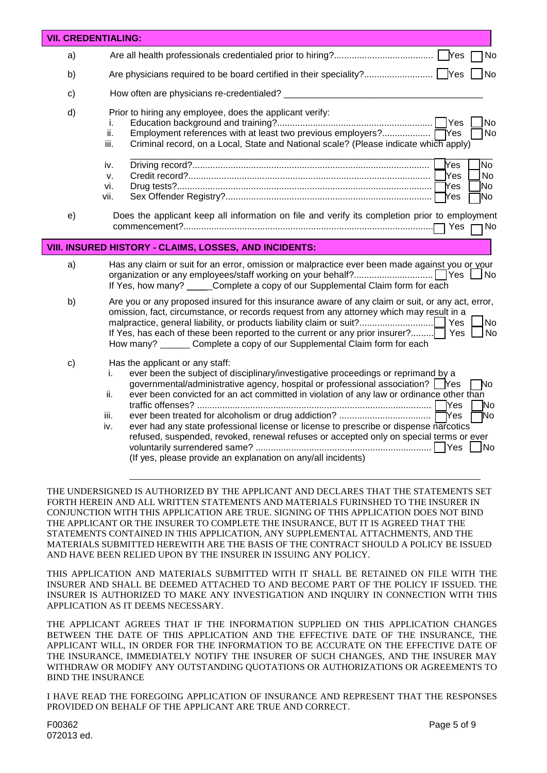|              | <b>VII. CREDENTIALING:</b>                                                                                                                                                                                                                                                                                                                                                                                                                                                        |
|--------------|-----------------------------------------------------------------------------------------------------------------------------------------------------------------------------------------------------------------------------------------------------------------------------------------------------------------------------------------------------------------------------------------------------------------------------------------------------------------------------------|
| a)           | No                                                                                                                                                                                                                                                                                                                                                                                                                                                                                |
| b)           | N <sub>o</sub>                                                                                                                                                                                                                                                                                                                                                                                                                                                                    |
| c)           | How often are physicians re-credentialed?                                                                                                                                                                                                                                                                                                                                                                                                                                         |
| d)           | Prior to hiring any employee, does the applicant verify:<br>No.<br>i.<br>Employment references with at least two previous employers? TYes<br>ii.<br>No<br>Criminal record, on a Local, State and National scale? (Please indicate which apply)<br>iii.                                                                                                                                                                                                                            |
|              | <b>Yes</b><br><b>N</b> o<br>iv.<br><b>Yes</b><br>No<br>v.<br>No]<br>Yes<br>vi.<br>Yes<br>1No<br>vii.                                                                                                                                                                                                                                                                                                                                                                              |
| e)           | Does the applicant keep all information on file and verify its completion prior to employment<br>Yes<br>No ا                                                                                                                                                                                                                                                                                                                                                                      |
|              | VIII. INSURED HISTORY - CLAIMS, LOSSES, AND INCIDENTS:                                                                                                                                                                                                                                                                                                                                                                                                                            |
| a)           | Has any claim or suit for an error, omission or malpractice ever been made against you or your<br>∫No<br>If Yes, how many? _____ Complete a copy of our Supplemental Claim form for each                                                                                                                                                                                                                                                                                          |
| b)           | Are you or any proposed insured for this insurance aware of any claim or suit, or any act, error,<br>omission, fact, circumstance, or records request from any attorney which may result in a<br>malpractice, general liability, or products liability claim or suit?<br><b>No</b><br><b>Yes</b><br>If Yes, has each of these been reported to the current or any prior insurer?<br><b>No</b><br>Yes<br>How many? _______ Complete a copy of our Supplemental Claim form for each |
| $\mathbf{C}$ | Has the applicant or any staff:<br>ever been the subject of disciplinary/investigative proceedings or reprimand by a<br>İ.<br>governmental/administrative agency, hospital or professional association? Wes<br>No<br>ever been convicted for an act committed in violation of any law or ordinance other than<br>ii.<br><b>TYes</b><br>N٥<br>ĪNo<br>iii.<br>ever had any state professional license or license to prescribe or dispense narcotics<br>iv.                          |

THE UNDERSIGNED IS AUTHORIZED BY THE APPLICANT AND DECLARES THAT THE STATEMENTS SET FORTH HEREIN AND ALL WRITTEN STATEMENTS AND MATERIALS FURINSHED TO THE INSURER IN CONJUNCTION WITH THIS APPLICATION ARE TRUE. SIGNING OF THIS APPLICATION DOES NOT BIND THE APPLICANT OR THE INSURER TO COMPLETE THE INSURANCE, BUT IT IS AGREED THAT THE STATEMENTS CONTAINED IN THIS APPLICATION, ANY SUPPLEMENTAL ATTACHMENTS, AND THE MATERIALS SUBMITTED HEREWITH ARE THE BASIS OF THE CONTRACT SHOULD A POLICY BE ISSUED AND HAVE BEEN RELIED UPON BY THE INSURER IN ISSUING ANY POLICY.

THIS APPLICATION AND MATERIALS SUBMITTED WITH IT SHALL BE RETAINED ON FILE WITH THE INSURER AND SHALL BE DEEMED ATTACHED TO AND BECOME PART OF THE POLICY IF ISSUED. THE INSURER IS AUTHORIZED TO MAKE ANY INVESTIGATION AND INQUIRY IN CONNECTION WITH THIS APPLICATION AS IT DEEMS NECESSARY.

THE APPLICANT AGREES THAT IF THE INFORMATION SUPPLIED ON THIS APPLICATION CHANGES BETWEEN THE DATE OF THIS APPLICATION AND THE EFFECTIVE DATE OF THE INSURANCE, THE APPLICANT WILL, IN ORDER FOR THE INFORMATION TO BE ACCURATE ON THE EFFECTIVE DATE OF THE INSURANCE, IMMEDIATELY NOTIFY THE INSURER OF SUCH CHANGES, AND THE INSURER MAY WITHDRAW OR MODIFY ANY OUTSTANDING QUOTATIONS OR AUTHORIZATIONS OR AGREEMENTS TO BIND THE INSURANCE

I HAVE READ THE FOREGOING APPLICATION OF INSURANCE AND REPRESENT THAT THE RESPONSES PROVIDED ON BEHALF OF THE APPLICANT ARE TRUE AND CORRECT.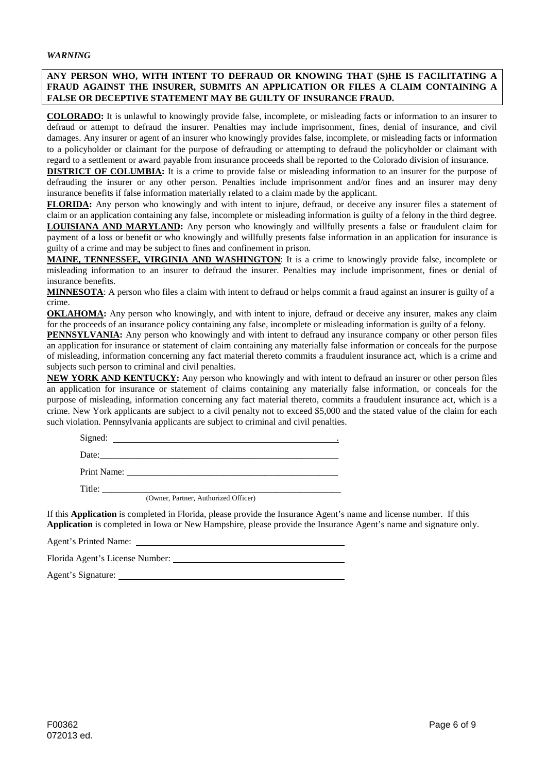#### **ANY PERSON WHO, WITH INTENT TO DEFRAUD OR KNOWING THAT (S)HE IS FACILITATING A FRAUD AGAINST THE INSURER, SUBMITS AN APPLICATION OR FILES A CLAIM CONTAINING A FALSE OR DECEPTIVE STATEMENT MAY BE GUILTY OF INSURANCE FRAUD.**

**COLORADO:** It is unlawful to knowingly provide false, incomplete, or misleading facts or information to an insurer to defraud or attempt to defraud the insurer. Penalties may include imprisonment, fines, denial of insurance, and civil damages. Any insurer or agent of an insurer who knowingly provides false, incomplete, or misleading facts or information to a policyholder or claimant for the purpose of defrauding or attempting to defraud the policyholder or claimant with regard to a settlement or award payable from insurance proceeds shall be reported to the Colorado division of insurance.

**DISTRICT OF COLUMBIA:** It is a crime to provide false or misleading information to an insurer for the purpose of defrauding the insurer or any other person. Penalties include imprisonment and/or fines and an insurer may deny insurance benefits if false information materially related to a claim made by the applicant.

**FLORIDA:** Any person who knowingly and with intent to injure, defraud, or deceive any insurer files a statement of claim or an application containing any false, incomplete or misleading information is guilty of a felony in the third degree. **LOUISIANA AND MARYLAND:** Any person who knowingly and willfully presents a false or fraudulent claim for payment of a loss or benefit or who knowingly and willfully presents false information in an application for insurance is guilty of a crime and may be subject to fines and confinement in prison.

**MAINE, TENNESSEE, VIRGINIA AND WASHINGTON**: It is a crime to knowingly provide false, incomplete or misleading information to an insurer to defraud the insurer. Penalties may include imprisonment, fines or denial of insurance benefits.

**MINNESOTA**: A person who files a claim with intent to defraud or helps commit a fraud against an insurer is guilty of a crime.

**OKLAHOMA:** Any person who knowingly, and with intent to injure, defraud or deceive any insurer, makes any claim for the proceeds of an insurance policy containing any false, incomplete or misleading information is guilty of a felony.

**PENNSYLVANIA:** Any person who knowingly and with intent to defraud any insurance company or other person files an application for insurance or statement of claim containing any materially false information or conceals for the purpose of misleading, information concerning any fact material thereto commits a fraudulent insurance act, which is a crime and subjects such person to criminal and civil penalties.

**NEW YORK AND KENTUCKY:** Any person who knowingly and with intent to defraud an insurer or other person files an application for insurance or statement of claims containing any materially false information, or conceals for the purpose of misleading, information concerning any fact material thereto, commits a fraudulent insurance act, which is a crime. New York applicants are subject to a civil penalty not to exceed \$5,000 and the stated value of the claim for each such violation. Pennsylvania applicants are subject to criminal and civil penalties.

| Date:                                |
|--------------------------------------|
|                                      |
| Title:                               |
| (Owner, Partner, Authorized Officer) |

If this **Application** is completed in Florida, please provide the Insurance Agent's name and license number. If this **Application** is completed in Iowa or New Hampshire, please provide the Insurance Agent's name and signature only.

| Agent's Printed Name:           |  |  |
|---------------------------------|--|--|
| Florida Agent's License Number: |  |  |

Agent's Signature: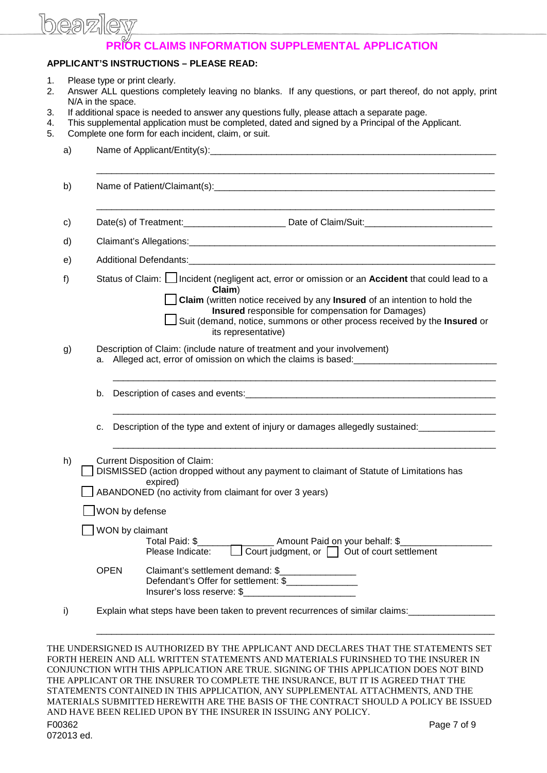# heaz

## **PRIOR CLAIMS INFORMATION SUPPLEMENTAL APPLICATION**

#### **APPLICANT'S INSTRUCTIONS – PLEASE READ:**

- 
- 1. Please type or print clearly.<br>2. Answer ALL questions com 2. Answer ALL questions completely leaving no blanks. If any questions, or part thereof, do not apply, print N/A in the space.
- 3. If additional space is needed to answer any questions fully, please attach a separate page.
- 4. This supplemental application must be completed, dated and signed by a Principal of the Applicant.<br>5. Complete one form for each incident, claim, or suit.
- Complete one form for each incident, claim, or suit.

| a) |                                                                                                                                                                                                                                                                                                                                                                                                                                                                                                                                                                                                      |                                                                                     |  |  |
|----|------------------------------------------------------------------------------------------------------------------------------------------------------------------------------------------------------------------------------------------------------------------------------------------------------------------------------------------------------------------------------------------------------------------------------------------------------------------------------------------------------------------------------------------------------------------------------------------------------|-------------------------------------------------------------------------------------|--|--|
| b) |                                                                                                                                                                                                                                                                                                                                                                                                                                                                                                                                                                                                      |                                                                                     |  |  |
| c) |                                                                                                                                                                                                                                                                                                                                                                                                                                                                                                                                                                                                      |                                                                                     |  |  |
| d) |                                                                                                                                                                                                                                                                                                                                                                                                                                                                                                                                                                                                      |                                                                                     |  |  |
| e) |                                                                                                                                                                                                                                                                                                                                                                                                                                                                                                                                                                                                      |                                                                                     |  |  |
| f) | Status of Claim:   Incident (negligent act, error or omission or an Accident that could lead to a<br>Claim)<br>Claim (written notice received by any Insured of an intention to hold the<br>Insured responsible for compensation for Damages)<br>Suit (demand, notice, summons or other process received by the Insured or<br>its representative)                                                                                                                                                                                                                                                    |                                                                                     |  |  |
| g) | Description of Claim: (include nature of treatment and your involvement)                                                                                                                                                                                                                                                                                                                                                                                                                                                                                                                             |                                                                                     |  |  |
|    |                                                                                                                                                                                                                                                                                                                                                                                                                                                                                                                                                                                                      |                                                                                     |  |  |
|    | Description of the type and extent of injury or damages allegedly sustained:<br>c.                                                                                                                                                                                                                                                                                                                                                                                                                                                                                                                   |                                                                                     |  |  |
| h) | <b>Current Disposition of Claim:</b><br>DISMISSED (action dropped without any payment to claimant of Statute of Limitations has<br>expired)<br>ABANDONED (no activity from claimant for over 3 years)                                                                                                                                                                                                                                                                                                                                                                                                |                                                                                     |  |  |
|    | WON by defense                                                                                                                                                                                                                                                                                                                                                                                                                                                                                                                                                                                       |                                                                                     |  |  |
|    | WON by claimant<br>Total Paid: \$<br>Please Indicate:                                                                                                                                                                                                                                                                                                                                                                                                                                                                                                                                                | Amount Paid on your behalf: \$<br>Court judgment, or $\Box$ Out of court settlement |  |  |
|    | <b>OPEN</b><br>Claimant's settlement demand: \$__________________<br>Defendant's Offer for settlement: \$_________________<br>Insurer's loss reserve: \$                                                                                                                                                                                                                                                                                                                                                                                                                                             |                                                                                     |  |  |
| i) | Explain what steps have been taken to prevent recurrences of similar claims: _________________                                                                                                                                                                                                                                                                                                                                                                                                                                                                                                       |                                                                                     |  |  |
|    | THE UNDERSIGNED IS AUTHORIZED BY THE APPLICANT AND DECLARES THAT THE STATEMENTS SET<br>FORTH HEREIN AND ALL WRITTEN STATEMENTS AND MATERIALS FURINSHED TO THE INSURER IN<br>CONJUNCTION WITH THIS APPLICATION ARE TRUE. SIGNING OF THIS APPLICATION DOES NOT BIND<br>THE APPLICANT OR THE INSURER TO COMPLETE THE INSURANCE, BUT IT IS AGREED THAT THE<br>STATEMENTS CONTAINED IN THIS APPLICATION, ANY SUPPLEMENTAL ATTACHMENTS, AND THE<br>MATERIALS SUBMITTED HEREWITH ARE THE BASIS OF THE CONTRACT SHOULD A POLICY BE ISSUED<br>AND HAVE BEEN RELIED UPON BY THE INSURER IN ISSUING ANY POLICY. |                                                                                     |  |  |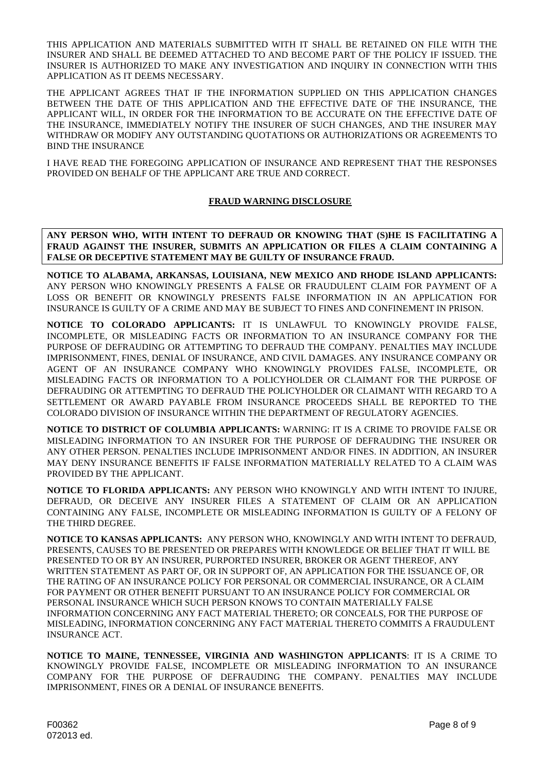THIS APPLICATION AND MATERIALS SUBMITTED WITH IT SHALL BE RETAINED ON FILE WITH THE INSURER AND SHALL BE DEEMED ATTACHED TO AND BECOME PART OF THE POLICY IF ISSUED. THE INSURER IS AUTHORIZED TO MAKE ANY INVESTIGATION AND INQUIRY IN CONNECTION WITH THIS APPLICATION AS IT DEEMS NECESSARY.

THE APPLICANT AGREES THAT IF THE INFORMATION SUPPLIED ON THIS APPLICATION CHANGES BETWEEN THE DATE OF THIS APPLICATION AND THE EFFECTIVE DATE OF THE INSURANCE, THE APPLICANT WILL, IN ORDER FOR THE INFORMATION TO BE ACCURATE ON THE EFFECTIVE DATE OF THE INSURANCE, IMMEDIATELY NOTIFY THE INSURER OF SUCH CHANGES, AND THE INSURER MAY WITHDRAW OR MODIFY ANY OUTSTANDING QUOTATIONS OR AUTHORIZATIONS OR AGREEMENTS TO BIND THE INSURANCE

I HAVE READ THE FOREGOING APPLICATION OF INSURANCE AND REPRESENT THAT THE RESPONSES PROVIDED ON BEHALF OF THE APPLICANT ARE TRUE AND CORRECT.

#### **FRAUD WARNING DISCLOSURE**

**ANY PERSON WHO, WITH INTENT TO DEFRAUD OR KNOWING THAT (S)HE IS FACILITATING A FRAUD AGAINST THE INSURER, SUBMITS AN APPLICATION OR FILES A CLAIM CONTAINING A FALSE OR DECEPTIVE STATEMENT MAY BE GUILTY OF INSURANCE FRAUD.**

**NOTICE TO ALABAMA, ARKANSAS, LOUISIANA, NEW MEXICO AND RHODE ISLAND APPLICANTS:**  ANY PERSON WHO KNOWINGLY PRESENTS A FALSE OR FRAUDULENT CLAIM FOR PAYMENT OF A LOSS OR BENEFIT OR KNOWINGLY PRESENTS FALSE INFORMATION IN AN APPLICATION FOR INSURANCE IS GUILTY OF A CRIME AND MAY BE SUBJECT TO FINES AND CONFINEMENT IN PRISON.

**NOTICE TO COLORADO APPLICANTS:** IT IS UNLAWFUL TO KNOWINGLY PROVIDE FALSE, INCOMPLETE, OR MISLEADING FACTS OR INFORMATION TO AN INSURANCE COMPANY FOR THE PURPOSE OF DEFRAUDING OR ATTEMPTING TO DEFRAUD THE COMPANY. PENALTIES MAY INCLUDE IMPRISONMENT, FINES, DENIAL OF INSURANCE, AND CIVIL DAMAGES. ANY INSURANCE COMPANY OR AGENT OF AN INSURANCE COMPANY WHO KNOWINGLY PROVIDES FALSE, INCOMPLETE, OR MISLEADING FACTS OR INFORMATION TO A POLICYHOLDER OR CLAIMANT FOR THE PURPOSE OF DEFRAUDING OR ATTEMPTING TO DEFRAUD THE POLICYHOLDER OR CLAIMANT WITH REGARD TO A SETTLEMENT OR AWARD PAYABLE FROM INSURANCE PROCEEDS SHALL BE REPORTED TO THE COLORADO DIVISION OF INSURANCE WITHIN THE DEPARTMENT OF REGULATORY AGENCIES.

**NOTICE TO DISTRICT OF COLUMBIA APPLICANTS:** WARNING: IT IS A CRIME TO PROVIDE FALSE OR MISLEADING INFORMATION TO AN INSURER FOR THE PURPOSE OF DEFRAUDING THE INSURER OR ANY OTHER PERSON. PENALTIES INCLUDE IMPRISONMENT AND/OR FINES. IN ADDITION, AN INSURER MAY DENY INSURANCE BENEFITS IF FALSE INFORMATION MATERIALLY RELATED TO A CLAIM WAS PROVIDED BY THE APPLICANT.

**NOTICE TO FLORIDA APPLICANTS:** ANY PERSON WHO KNOWINGLY AND WITH INTENT TO INJURE, DEFRAUD, OR DECEIVE ANY INSURER FILES A STATEMENT OF CLAIM OR AN APPLICATION CONTAINING ANY FALSE, INCOMPLETE OR MISLEADING INFORMATION IS GUILTY OF A FELONY OF THE THIRD DEGREE.

**NOTICE TO KANSAS APPLICANTS:** ANY PERSON WHO, KNOWINGLY AND WITH INTENT TO DEFRAUD, PRESENTS, CAUSES TO BE PRESENTED OR PREPARES WITH KNOWLEDGE OR BELIEF THAT IT WILL BE PRESENTED TO OR BY AN INSURER, PURPORTED INSURER, BROKER OR AGENT THEREOF, ANY WRITTEN STATEMENT AS PART OF, OR IN SUPPORT OF, AN APPLICATION FOR THE ISSUANCE OF, OR THE RATING OF AN INSURANCE POLICY FOR PERSONAL OR COMMERCIAL INSURANCE, OR A CLAIM FOR PAYMENT OR OTHER BENEFIT PURSUANT TO AN INSURANCE POLICY FOR COMMERCIAL OR PERSONAL INSURANCE WHICH SUCH PERSON KNOWS TO CONTAIN MATERIALLY FALSE INFORMATION CONCERNING ANY FACT MATERIAL THERETO; OR CONCEALS, FOR THE PURPOSE OF MISLEADING, INFORMATION CONCERNING ANY FACT MATERIAL THERETO COMMITS A FRAUDULENT INSURANCE ACT.

**NOTICE TO MAINE, TENNESSEE, VIRGINIA AND WASHINGTON APPLICANTS**: IT IS A CRIME TO KNOWINGLY PROVIDE FALSE, INCOMPLETE OR MISLEADING INFORMATION TO AN INSURANCE COMPANY FOR THE PURPOSE OF DEFRAUDING THE COMPANY. PENALTIES MAY INCLUDE IMPRISONMENT, FINES OR A DENIAL OF INSURANCE BENEFITS.